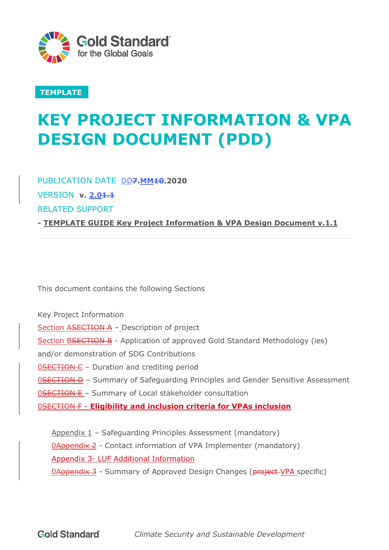

## **TEMPLATE**

# **KEY PROJECT INFORMATION & VPA DESIGN DOCUMENT (PDD)**

PUBLICATION DATE DD<sub>7</sub>.MM<sub>10.2020</sub>

VERSION **v. 2.01.1**

RELATED SUPPORT

**- TEMPLATE GUIDE Key Project Information & VPA Design Document v.1.1**

This document contains the following Sections

Key Project Information Section ASECTION A - Description of project Section BSECTION B - Application of approved Gold Standard Methodology (ies) and/or demonstration of SDG Contributions **0SECTION C** - Duration and crediting period 0SECTION D – Summary of Safeguarding Principles and Gender Sensitive Assessment 0SECTION E – Summary of Local stakeholder consultation 0SECTION F - **Eligibility and inclusion criteria for VPAs inclusion** 

Appendix  $1$  – Safeguarding Principles Assessment (mandatory) 0Appendix 2 - Contact information of VPA Implementer (mandatory) Appendix 3- LUF Additional Information **0Appendix 3** - Summary of Approved Design Changes (**project-VPA** specific)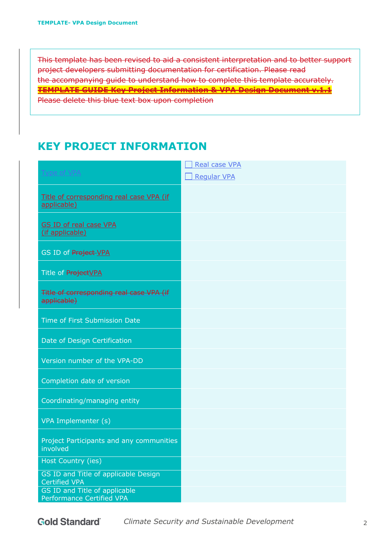This template has been revised to aid a consistent interpretation and to better support project developers submitting documentation for certification. Please read the accompanying guide to understand how to complete this template accurately. **TEMPLATE GUIDE Key Project Information & VPA Design Document v.1.1** Please delete this blue text box upon completion

# **KEY PROJECT INFORMATION**

|                                                              | <b>Real case VPA</b> |
|--------------------------------------------------------------|----------------------|
| Type of VPA                                                  | <b>Regular VPA</b>   |
| Title of corresponding real case VPA (if<br>applicable)      |                      |
| <b>GS ID of real case VPA</b><br>(if applicable)             |                      |
| GS ID of Project-VPA                                         |                      |
| Title of ProjectVPA                                          |                      |
| Title of corresponding real case VPA (if<br>applicable)      |                      |
| Time of First Submission Date                                |                      |
| Date of Design Certification                                 |                      |
| Version number of the VPA-DD                                 |                      |
| Completion date of version                                   |                      |
| Coordinating/managing entity                                 |                      |
| VPA Implementer (s)                                          |                      |
| Project Participants and any communities<br>involved         |                      |
| Host Country (ies)                                           |                      |
| GS ID and Title of applicable Design<br><b>Certified VPA</b> |                      |
| GS ID and Title of applicable<br>Performance Certified VPA   |                      |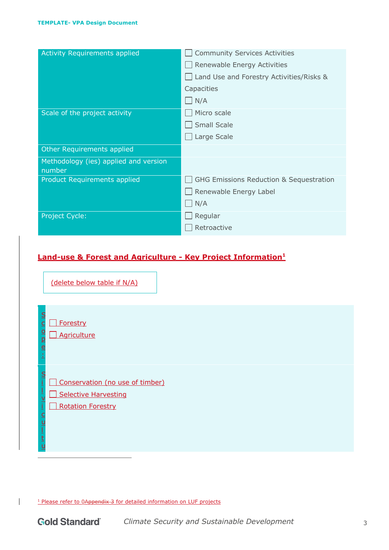| <b>Activity Requirements applied</b>            | <b>Community Services Activities</b>               |
|-------------------------------------------------|----------------------------------------------------|
|                                                 | Renewable Energy Activities                        |
|                                                 | Land Use and Forestry Activities/Risks &           |
|                                                 | Capacities                                         |
|                                                 | N/A                                                |
| Scale of the project activity                   | Micro scale                                        |
|                                                 | <b>Small Scale</b>                                 |
|                                                 | Large Scale                                        |
| Other Requirements applied                      |                                                    |
| Methodology (ies) applied and version<br>number |                                                    |
| Product Requirements applied                    | <b>GHG Emissions Reduction &amp; Sequestration</b> |
|                                                 | Renewable Energy Label                             |
|                                                 | N/A                                                |
| Project Cycle:                                  | Regular                                            |
|                                                 | Retroactive                                        |
|                                                 |                                                    |

### **Land-use & Forest and Agriculture - Key Project Information1**

(delete below table if N/A)

| $\frac{S}{C}$<br>$\frac{1}{2}$<br>$\overline{e}$<br>ģ                                   | Forestry<br>Agriculture                                                      |
|-----------------------------------------------------------------------------------------|------------------------------------------------------------------------------|
| $rac{S}{i}$<br>÷<br>$\overline{\mathsf{v}}$<br>$\overline{\mathbf{i}}$<br>$\frac{C}{U}$ | Conservation (no use of timber)<br>Selective Harvesting<br>Rotation Forestry |

<sup>1</sup> Please refer to 0Appendix 3 for detailed information on LUF projects

 $\overline{\phantom{a}}$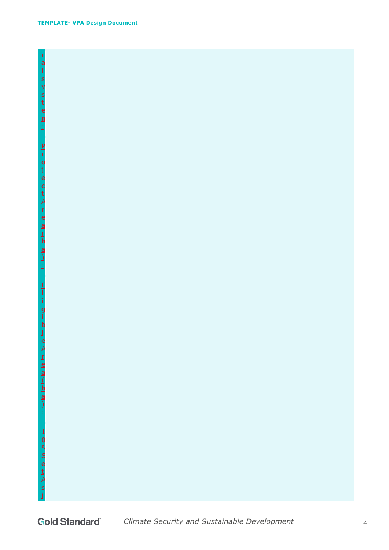#### **TEMPLATE- VPA Design Document**

| i - 7 0 1 0 1 0 1 1 0 1 0 1 0 1 1 0 1 1 0 1 1 0 1 1 0 1 1 0 1 1 0 1 1 0 1 1 0 1 1 0 1 1 0 1 1 0 1 1 0 1 1 0 1 1 |
|-----------------------------------------------------------------------------------------------------------------|
|                                                                                                                 |
|                                                                                                                 |
|                                                                                                                 |
|                                                                                                                 |
| E<br>I                                                                                                          |
| İ                                                                                                               |
|                                                                                                                 |
|                                                                                                                 |
| $\frac{q}{1-p}$                                                                                                 |
|                                                                                                                 |
|                                                                                                                 |
|                                                                                                                 |
|                                                                                                                 |
|                                                                                                                 |
|                                                                                                                 |
|                                                                                                                 |
|                                                                                                                 |
|                                                                                                                 |
| eld Li @ld Li Mirit                                                                                             |
|                                                                                                                 |
|                                                                                                                 |
|                                                                                                                 |
|                                                                                                                 |
|                                                                                                                 |
|                                                                                                                 |
|                                                                                                                 |
|                                                                                                                 |
| $\frac{1}{10}$ $\frac{1}{10}$ $\frac{1}{10}$ $\frac{1}{10}$ $\frac{1}{10}$ $\frac{1}{10}$                       |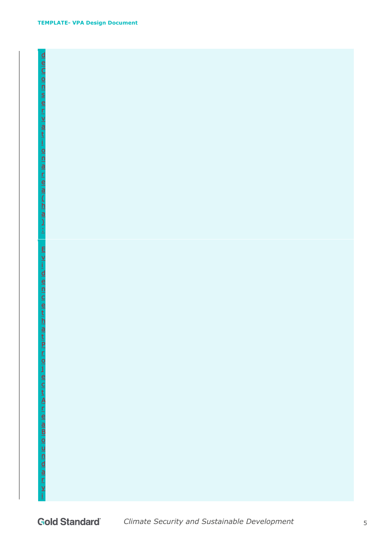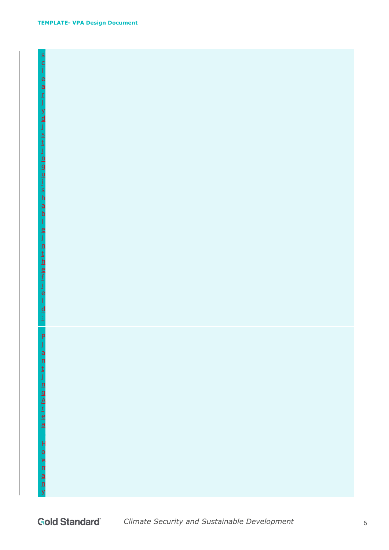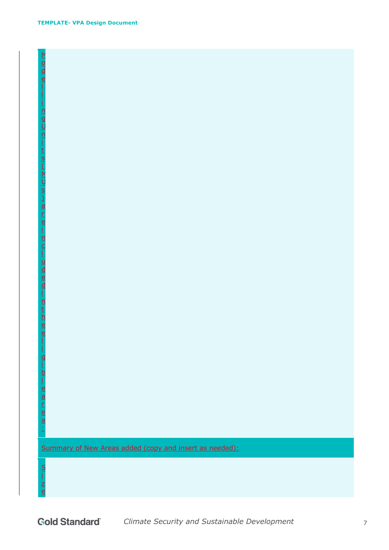$\overline{\mathsf{M}}$ o d e

i n g U n

t s  $\overline{\mathfrak{l}}$  $\underline{\mathsf{M}}$ U

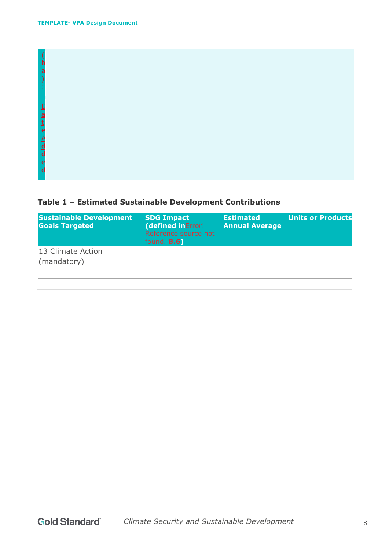| $\overline{\mathsf{h}}$<br>$\frac{a}{b}$<br>- 1<br>×.                                                    |  |  |  |
|----------------------------------------------------------------------------------------------------------|--|--|--|
| $\overline{\mathbb{C}}$<br>$\frac{a}{t}$<br>$\frac{e}{A}$<br><u>d</u><br>$\overline{a}$<br>$\frac{e}{d}$ |  |  |  |

# **Table 1 – Estimated Sustainable Development Contributions**

| <b>Sustainable Development</b><br><b>Goals Targeted</b> | <b>SDG Impact</b><br>(defined in Error!<br>Reference source not<br>found. <b>B.6</b> | <b>Estimated</b><br><b>Annual Average</b> | <b>Units or Products</b> |
|---------------------------------------------------------|--------------------------------------------------------------------------------------|-------------------------------------------|--------------------------|
| 13 Climate Action                                       |                                                                                      |                                           |                          |
| (mandatory)                                             |                                                                                      |                                           |                          |
|                                                         |                                                                                      |                                           |                          |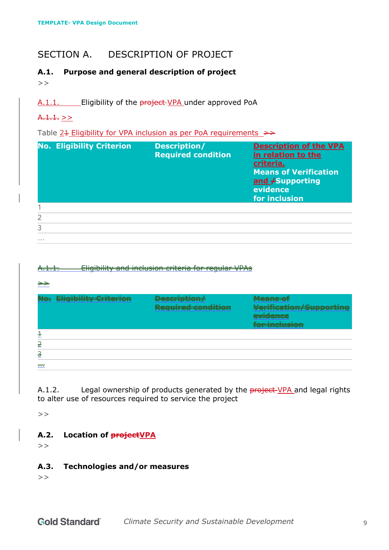# SECTION A. DESCRIPTION OF PROJECT

#### **A.1. Purpose and general description of project**   $>$

A.1.1. Eligibility of the **project-VPA** under approved PoA

### $A.1.1.$  >>

Table  $24$  Eligibility for VPA inclusion as per PoA requirements  $\rightarrow$ 

|               | <b>No. Eligibility Criterion</b> | Description/<br><b>Required condition</b> | <b>Description of the VPA</b><br>in relation to the<br>criteria,<br><b>Means of Verification</b><br>and / Supporting<br>evidence<br>for inclusion |
|---------------|----------------------------------|-------------------------------------------|---------------------------------------------------------------------------------------------------------------------------------------------------|
|               |                                  |                                           |                                                                                                                                                   |
| $\mathcal{P}$ |                                  |                                           |                                                                                                                                                   |
| 3             |                                  |                                           |                                                                                                                                                   |
| $\cdots$      |                                  |                                           |                                                                                                                                                   |

#### A.1.1. Eligibility and inclusion criteria for regular VPAs

#### $\Rightarrow$

|                     | <b>Eligibility Criterion</b> | <b>Contract Contract</b><br>brest <del>i i putoity</del><br>医心包 医皮肤病<br>---------------------------------<br><u>itel, an ea contributor</u> | . <del>.</del><br><b>IN A TANK ENGINEERING</b><br>$M = 1.121$ and $M = 1.001$<br>venneardit supportive<br>مممم امليت<br>------------<br>THE REPORT OF A TAX<br>io Encitato d |
|---------------------|------------------------------|---------------------------------------------------------------------------------------------------------------------------------------------|------------------------------------------------------------------------------------------------------------------------------------------------------------------------------|
|                     |                              |                                                                                                                                             |                                                                                                                                                                              |
| $\geq$              |                              |                                                                                                                                             |                                                                                                                                                                              |
| ≂                   |                              |                                                                                                                                             |                                                                                                                                                                              |
| $\overline{\cdots}$ |                              |                                                                                                                                             |                                                                                                                                                                              |

A.1.2. Legal ownership of products generated by the **project-VPA** and legal rights to alter use of resources required to service the project

 $>$ 

### **A.2. Location of projectVPA**

 $>$ 

#### **A.3. Technologies and/or measures**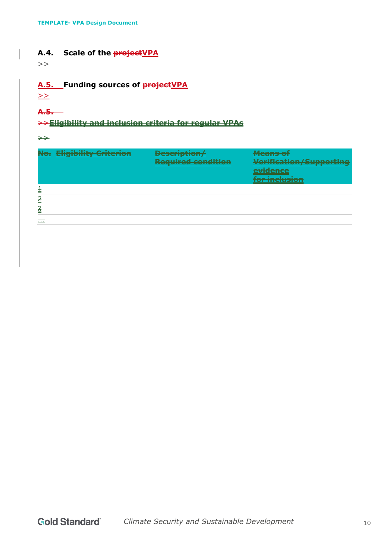#### A.4. Scale of the **project VPA**

 $>$ 

### **A.5. Funding sources of projectVPA**

 $\geq$ 

# **A.5.**

### >>**Eligibility and inclusion criteria for regular VPAs**

 $\rightarrow$ 

|               | <b>Eligibility Criterion</b> | <b>Description/</b><br><b>Required condition</b> | <b>Means of</b><br>Verification/Supporting<br>evidence<br>for inclusion |
|---------------|------------------------------|--------------------------------------------------|-------------------------------------------------------------------------|
|               |                              |                                                  |                                                                         |
|               |                              |                                                  |                                                                         |
| $\frac{3}{2}$ |                              |                                                  |                                                                         |
| 1.1.1         |                              |                                                  |                                                                         |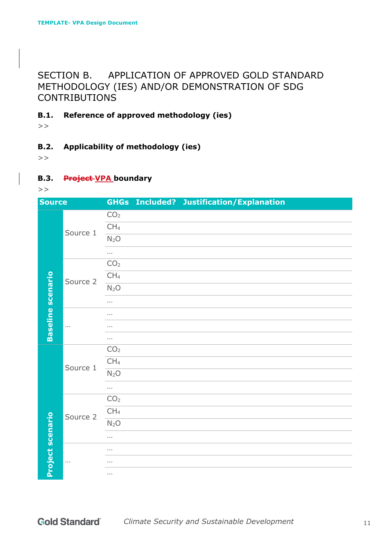# SECTION B. APPLICATION OF APPROVED GOLD STANDARD METHODOLOGY (IES) AND/OR DEMONSTRATION OF SDG CONTRIBUTIONS

**B.1. Reference of approved methodology (ies)**

 $>$ 

**B.2. Applicability of methodology (ies)**

 $>$ 

**B.3. Project VPA boundary**

| <b>Source</b>            |          |                      | <b>GHGs Included? Justification/Explanation</b> |  |
|--------------------------|----------|----------------------|-------------------------------------------------|--|
|                          | Source 1 | CO <sub>2</sub>      |                                                 |  |
|                          |          | CH <sub>4</sub>      |                                                 |  |
|                          |          | N <sub>2</sub> O     |                                                 |  |
|                          |          | $\sim$               |                                                 |  |
|                          |          | CO <sub>2</sub>      |                                                 |  |
|                          | Source 2 | CH <sub>4</sub>      |                                                 |  |
|                          |          | N <sub>2</sub> O     |                                                 |  |
| <b>Baseline</b> scenario |          | $\cdots$             |                                                 |  |
|                          |          | $\sim$ $\sim$ $\sim$ |                                                 |  |
|                          | $\cdots$ | $\sim$ $\sim$ $\sim$ |                                                 |  |
|                          |          | $\cdots$             |                                                 |  |
|                          | Source 1 | CO <sub>2</sub>      |                                                 |  |
|                          |          | CH <sub>4</sub>      |                                                 |  |
|                          |          | N <sub>2</sub> O     |                                                 |  |
|                          |          | $\ldots$             |                                                 |  |
|                          | Source 2 | CO <sub>2</sub>      |                                                 |  |
|                          |          | CH <sub>4</sub>      |                                                 |  |
|                          |          | N <sub>2</sub> O     |                                                 |  |
|                          |          | $\sim$ $\sim$        |                                                 |  |
|                          |          |                      |                                                 |  |
| Project scenario         | $\ldots$ | $\sim$ $\sim$ $\sim$ |                                                 |  |
|                          |          | $\cdots$             |                                                 |  |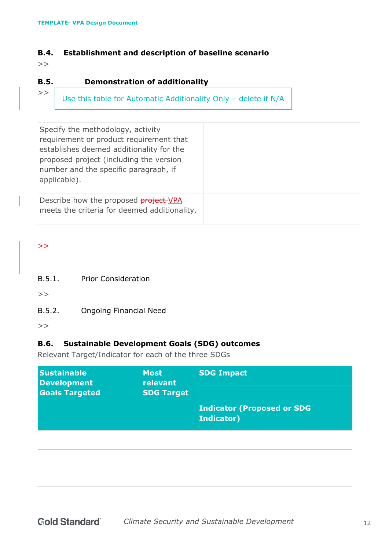#### **B.4. Establishment and description of baseline scenario**

 $>$ 

#### **B.5. Demonstration of additionality**

| M. | M. |
|----|----|
|    |    |
|    |    |
|    |    |
| ۰. | ۰. |
|    |    |
| v  | v  |
| ٠  | ٠  |
| ٧  | ٧  |
| ۰. | ۰. |
| v  | v  |
| ٠  | ٠  |
|    |    |

Use this table for Automatic Additionality Only – delete if N/A

| Specify the methodology, activity<br>requirement or product requirement that<br>establishes deemed additionality for the<br>proposed project (including the version<br>number and the specific paragraph, if<br>applicable). |  |
|------------------------------------------------------------------------------------------------------------------------------------------------------------------------------------------------------------------------------|--|
| Describe how the proposed <b>project-VPA</b><br>meets the criteria for deemed additionality.                                                                                                                                 |  |

 $\geq$ 

B.5.1. Prior Consideration

 $>$ 

B.5.2. Ongoing Financial Need

 $>$ 

### **B.6. Sustainable Development Goals (SDG) outcomes**

Relevant Target/Indicator for each of the three SDGs

| <b>Sustainable</b><br><b>Development</b> | <b>Most</b><br>relevant<br><b>SDG Target</b> | <b>SDG Impact</b>                 |
|------------------------------------------|----------------------------------------------|-----------------------------------|
| <b>Goals Targeted</b>                    |                                              |                                   |
|                                          |                                              | <b>Indicator (Proposed or SDG</b> |
|                                          |                                              | Indicator)                        |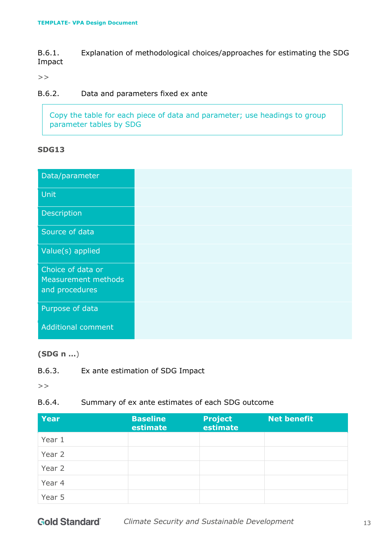B.6.1. Explanation of methodological choices/approaches for estimating the SDG Impact

 $>$ 

#### B.6.2. Data and parameters fixed ex ante

Copy the table for each piece of data and parameter; use headings to group parameter tables by SDG

#### **SDG13**

| Data/parameter                                             |
|------------------------------------------------------------|
| Unit                                                       |
| Description                                                |
| Source of data                                             |
| Value(s) applied                                           |
| Choice of data or<br>Measurement methods<br>and procedures |
| Purpose of data                                            |
| <b>Additional comment</b>                                  |

#### **(SDG n …**)

B.6.3. Ex ante estimation of SDG Impact

 $>$ 

B.6.4. Summary of ex ante estimates of each SDG outcome

| <b>Year</b> | <b>Baseline</b><br>estimate | <b>Project</b><br>estimate | <b>Net benefit</b> |
|-------------|-----------------------------|----------------------------|--------------------|
| Year 1      |                             |                            |                    |
| Year 2      |                             |                            |                    |
| Year 2      |                             |                            |                    |
| Year 4      |                             |                            |                    |
| Year 5      |                             |                            |                    |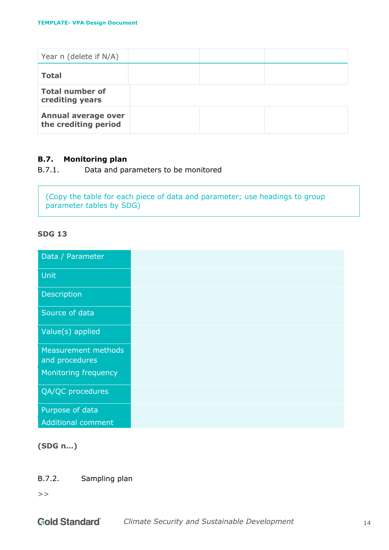| Year n (delete if N/A)                      |  |  |
|---------------------------------------------|--|--|
| <b>Total</b>                                |  |  |
| <b>Total number of</b><br>crediting years   |  |  |
| Annual average over<br>the crediting period |  |  |

#### **B.7. Monitoring plan**

B.7.1. Data and parameters to be monitored

(Copy the table for each piece of data and parameter; use headings to group parameter tables by SDG)

#### **SDG 13**

| Data / Parameter                      |
|---------------------------------------|
| Unit                                  |
| Description                           |
| Source of data                        |
| Value(s) applied                      |
| Measurement methods<br>and procedures |
| Monitoring frequency                  |
| QA/QC procedures                      |
| Purpose of data                       |
| <b>Additional comment</b>             |

#### **(SDG n…)**

B.7.2. Sampling plan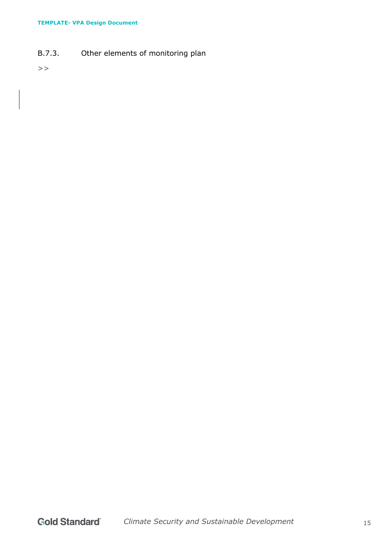B.7.3. Other elements of monitoring plan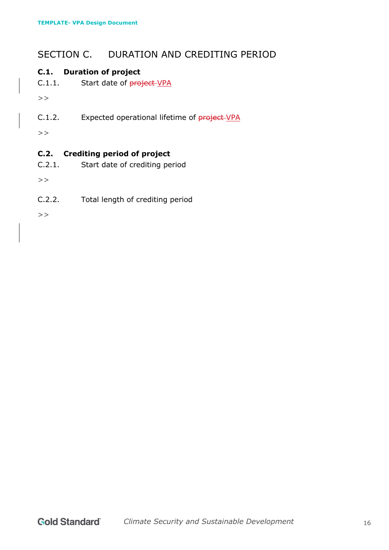# SECTION C. DURATION AND CREDITING PERIOD

### **C.1. Duration of project**

C.1.1. Start date of project-VPA

 $>$ 

C.1.2. Expected operational lifetime of project-VPA

 $>$ 

### **C.2. Crediting period of project**

C.2.1. Start date of crediting period

 $>$ 

C.2.2. Total length of crediting period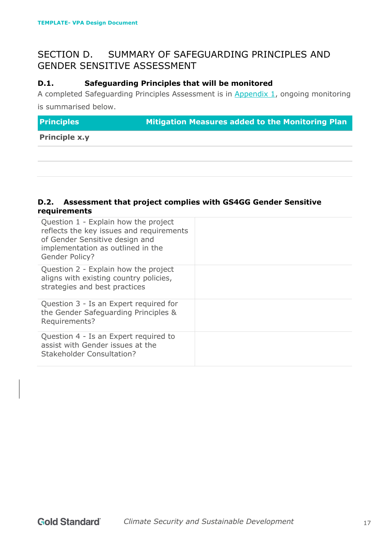# SECTION D. SUMMARY OF SAFEGUARDING PRINCIPLES AND GENDER SENSITIVE ASSESSMENT

#### **D.1. Safeguarding Principles that will be monitored**

A completed Safeguarding Principles Assessment is in Appendix 1, ongoing monitoring is summarised below.

**Principles Mitigation Measures added to the Monitoring Plan** 

**Principle x.y**

#### **D.2. Assessment that project complies with GS4GG Gender Sensitive requirements**

| Question 1 - Explain how the project<br>reflects the key issues and requirements<br>of Gender Sensitive design and<br>implementation as outlined in the<br>Gender Policy? |  |
|---------------------------------------------------------------------------------------------------------------------------------------------------------------------------|--|
| Question 2 - Explain how the project<br>aligns with existing country policies,<br>strategies and best practices                                                           |  |
| Question 3 - Is an Expert required for<br>the Gender Safeguarding Principles &<br>Requirements?                                                                           |  |
| Question 4 - Is an Expert required to<br>assist with Gender issues at the<br><b>Stakeholder Consultation?</b>                                                             |  |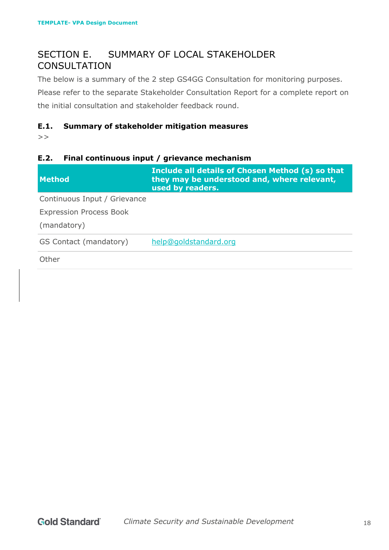# SECTION E. SUMMARY OF LOCAL STAKEHOLDER **CONSULTATION**

The below is a summary of the 2 step GS4GG Consultation for monitoring purposes. Please refer to the separate Stakeholder Consultation Report for a complete report on the initial consultation and stakeholder feedback round.

#### **E.1. Summary of stakeholder mitigation measures**

 $>$ 

#### **E.2. Final continuous input / grievance mechanism**

| <b>Method</b>                                 | Include all details of Chosen Method (s) so that<br>they may be understood and, where relevant,<br>used by readers. |
|-----------------------------------------------|---------------------------------------------------------------------------------------------------------------------|
| Continuous Input / Grievance                  |                                                                                                                     |
| <b>Expression Process Book</b><br>(mandatory) |                                                                                                                     |
| GS Contact (mandatory)                        | help@goldstandard.org                                                                                               |
| Other                                         |                                                                                                                     |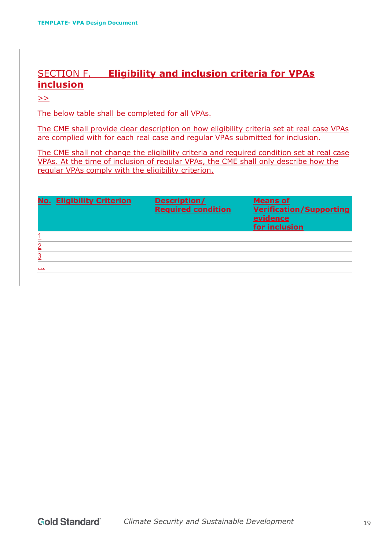# SECTION F. **Eligibility and inclusion criteria for VPAs inclusion**

>>

The below table shall be completed for all VPAs.

The CME shall provide clear description on how eligibility criteria set at real case VPAs are complied with for each real case and regular VPAs submitted for inclusion.

The CME shall not change the eligibility criteria and required condition set at real case VPAs. At the time of inclusion of regular VPAs, the CME shall only describe how the regular VPAs comply with the eligibility criterion.

|   | <b>No. Eligibility Criterion</b> | Description/<br><b>Required condition</b> | <b>Means of</b><br><b>Verification/Supporting</b><br>evidence<br>for inclusion |
|---|----------------------------------|-------------------------------------------|--------------------------------------------------------------------------------|
|   |                                  |                                           |                                                                                |
| 2 |                                  |                                           |                                                                                |
|   |                                  |                                           |                                                                                |
|   |                                  |                                           |                                                                                |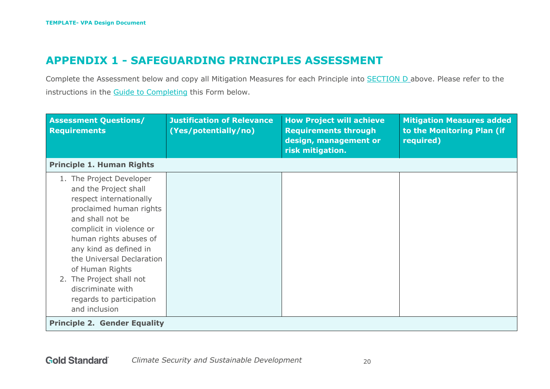# **APPENDIX 1 - SAFEGUARDING PRINCIPLES ASSESSMENT**

Complete the Assessment below and copy all Mitigation Measures for each Principle into **SECTION D** above. Please refer to the instructions in the Guide to Completing this Form below.

| <b>Assessment Questions/</b><br><b>Requirements</b>                                                                                                                                                                                                                                                                                                       | <b>Justification of Relevance</b><br>(Yes/potentially/no) | <b>How Project will achieve</b><br><b>Requirements through</b><br>design, management or<br>risk mitigation. | <b>Mitigation Measures added</b><br>to the Monitoring Plan (if<br>required) |
|-----------------------------------------------------------------------------------------------------------------------------------------------------------------------------------------------------------------------------------------------------------------------------------------------------------------------------------------------------------|-----------------------------------------------------------|-------------------------------------------------------------------------------------------------------------|-----------------------------------------------------------------------------|
| <b>Principle 1. Human Rights</b>                                                                                                                                                                                                                                                                                                                          |                                                           |                                                                                                             |                                                                             |
| 1. The Project Developer<br>and the Project shall<br>respect internationally<br>proclaimed human rights<br>and shall not be<br>complicit in violence or<br>human rights abuses of<br>any kind as defined in<br>the Universal Declaration<br>of Human Rights<br>2. The Project shall not<br>discriminate with<br>regards to participation<br>and inclusion |                                                           |                                                                                                             |                                                                             |
| <b>Principle 2. Gender Equality</b>                                                                                                                                                                                                                                                                                                                       |                                                           |                                                                                                             |                                                                             |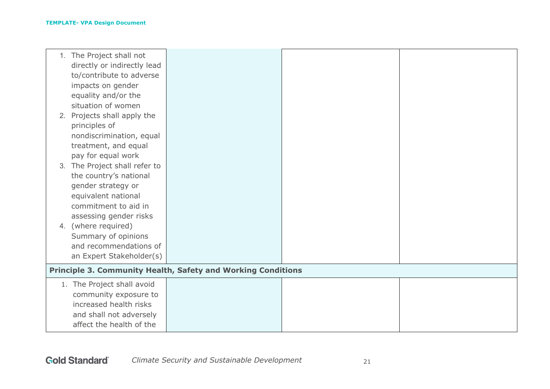|    | 1. The Project shall not    |                                                                     |  |
|----|-----------------------------|---------------------------------------------------------------------|--|
|    | directly or indirectly lead |                                                                     |  |
|    | to/contribute to adverse    |                                                                     |  |
|    | impacts on gender           |                                                                     |  |
|    | equality and/or the         |                                                                     |  |
|    | situation of women          |                                                                     |  |
|    | 2. Projects shall apply the |                                                                     |  |
|    | principles of               |                                                                     |  |
|    | nondiscrimination, equal    |                                                                     |  |
|    | treatment, and equal        |                                                                     |  |
|    | pay for equal work          |                                                                     |  |
| 3. | The Project shall refer to  |                                                                     |  |
|    | the country's national      |                                                                     |  |
|    | gender strategy or          |                                                                     |  |
|    | equivalent national         |                                                                     |  |
|    | commitment to aid in        |                                                                     |  |
|    | assessing gender risks      |                                                                     |  |
|    | 4. (where required)         |                                                                     |  |
|    | Summary of opinions         |                                                                     |  |
|    | and recommendations of      |                                                                     |  |
|    | an Expert Stakeholder(s)    |                                                                     |  |
|    |                             | <b>Principle 3. Community Health, Safety and Working Conditions</b> |  |
|    | 1. The Project shall avoid  |                                                                     |  |
|    | community exposure to       |                                                                     |  |
|    | increased health risks      |                                                                     |  |
|    | and shall not adversely     |                                                                     |  |
|    | affect the health of the    |                                                                     |  |
|    |                             |                                                                     |  |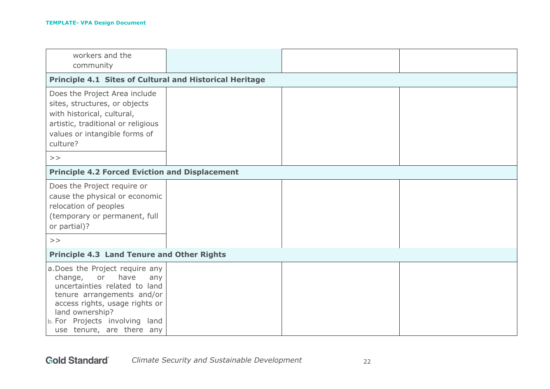| workers and the<br>community                                                                                                                                                                                                                       |  |  |
|----------------------------------------------------------------------------------------------------------------------------------------------------------------------------------------------------------------------------------------------------|--|--|
| <b>Principle 4.1 Sites of Cultural and Historical Heritage</b>                                                                                                                                                                                     |  |  |
| Does the Project Area include<br>sites, structures, or objects<br>with historical, cultural,<br>artistic, traditional or religious<br>values or intangible forms of<br>culture?                                                                    |  |  |
| >                                                                                                                                                                                                                                                  |  |  |
| <b>Principle 4.2 Forced Eviction and Displacement</b>                                                                                                                                                                                              |  |  |
| Does the Project require or<br>cause the physical or economic<br>relocation of peoples<br>(temporary or permanent, full<br>or partial)?                                                                                                            |  |  |
| >                                                                                                                                                                                                                                                  |  |  |
| <b>Principle 4.3 Land Tenure and Other Rights</b>                                                                                                                                                                                                  |  |  |
| a. Does the Project require any<br>or<br>have<br>change,<br>any<br>uncertainties related to land<br>tenure arrangements and/or<br>access rights, usage rights or<br>land ownership?<br>b. For Projects involving land<br>use tenure, are there any |  |  |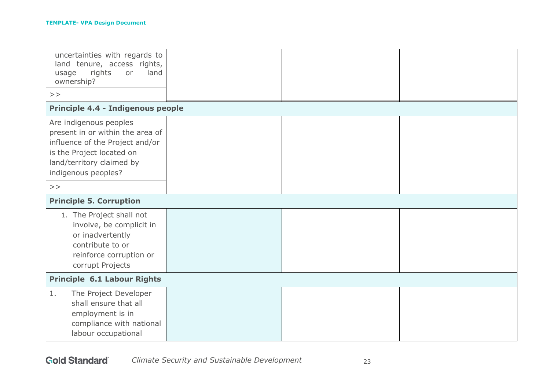| uncertainties with regards to<br>land tenure, access rights,<br>rights<br>land<br>or<br>usage<br>ownership?<br>$>$ $>$                                                         |  |  |
|--------------------------------------------------------------------------------------------------------------------------------------------------------------------------------|--|--|
| Principle 4.4 - Indigenous people                                                                                                                                              |  |  |
| Are indigenous peoples<br>present in or within the area of<br>influence of the Project and/or<br>is the Project located on<br>land/territory claimed by<br>indigenous peoples? |  |  |
| >                                                                                                                                                                              |  |  |
| <b>Principle 5. Corruption</b>                                                                                                                                                 |  |  |
| 1. The Project shall not<br>involve, be complicit in<br>or inadvertently<br>contribute to or<br>reinforce corruption or<br>corrupt Projects                                    |  |  |
| <b>Principle 6.1 Labour Rights</b>                                                                                                                                             |  |  |
| 1.<br>The Project Developer<br>shall ensure that all<br>employment is in<br>compliance with national<br>labour occupational                                                    |  |  |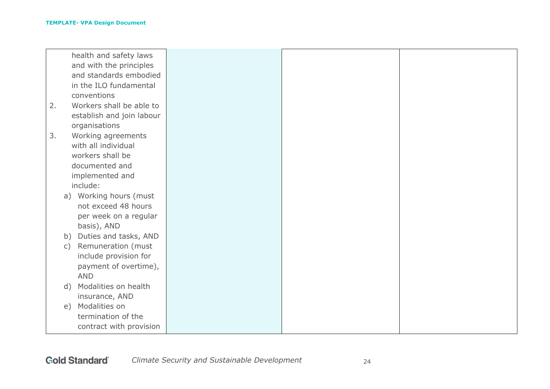|    | health and safety laws      |
|----|-----------------------------|
|    | and with the principles     |
|    | and standards embodied      |
|    | in the ILO fundamental      |
|    | conventions                 |
| 2. | Workers shall be able to    |
|    | establish and join labour   |
|    | organisations               |
| 3. | Working agreements          |
|    | with all individual         |
|    | workers shall be            |
|    | documented and              |
|    | implemented and             |
|    | include:                    |
|    | a) Working hours (must      |
|    | not exceed 48 hours         |
|    | per week on a regular       |
|    | basis), AND                 |
|    | Duties and tasks, AND<br>b) |
|    | Remuneration (must<br>C)    |
|    | include provision for       |
|    | payment of overtime),       |
|    | <b>AND</b>                  |
|    | Modalities on health<br>d)  |
|    |                             |
|    | insurance, AND              |
|    | Modalities on<br>e)         |
|    | termination of the          |
|    | contract with provision     |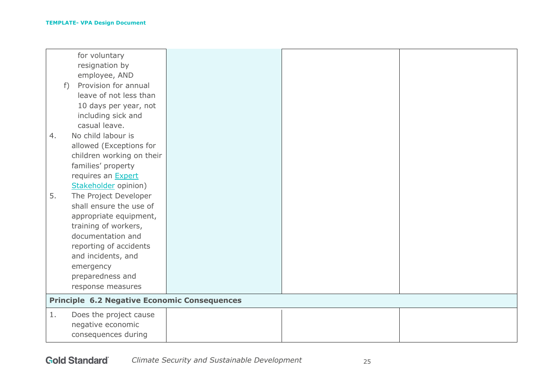|    | for voluntary                                       |  |  |
|----|-----------------------------------------------------|--|--|
|    | resignation by                                      |  |  |
|    | employee, AND                                       |  |  |
|    | Provision for annual<br>$f$ )                       |  |  |
|    | leave of not less than                              |  |  |
|    | 10 days per year, not                               |  |  |
|    | including sick and                                  |  |  |
|    | casual leave.                                       |  |  |
| 4. | No child labour is                                  |  |  |
|    | allowed (Exceptions for                             |  |  |
|    | children working on their                           |  |  |
|    | families' property                                  |  |  |
|    | requires an <b>Expert</b>                           |  |  |
|    | Stakeholder opinion)                                |  |  |
| 5. | The Project Developer                               |  |  |
|    | shall ensure the use of                             |  |  |
|    | appropriate equipment,                              |  |  |
|    | training of workers,                                |  |  |
|    | documentation and                                   |  |  |
|    | reporting of accidents                              |  |  |
|    | and incidents, and                                  |  |  |
|    | emergency                                           |  |  |
|    | preparedness and                                    |  |  |
|    | response measures                                   |  |  |
|    |                                                     |  |  |
|    | <b>Principle 6.2 Negative Economic Consequences</b> |  |  |
| 1. | Does the project cause                              |  |  |
|    | negative economic                                   |  |  |
|    | consequences during                                 |  |  |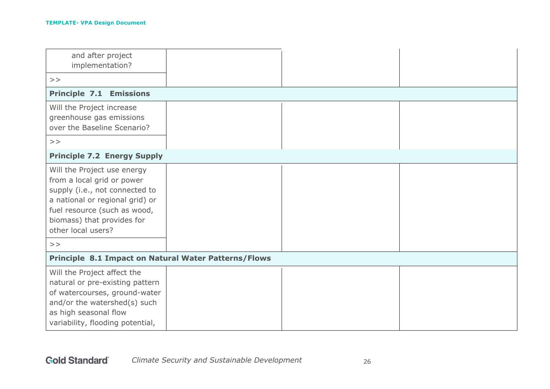| and after project<br>implementation?                                                                                                                                                                                    |  |  |
|-------------------------------------------------------------------------------------------------------------------------------------------------------------------------------------------------------------------------|--|--|
| >                                                                                                                                                                                                                       |  |  |
| <b>Principle 7.1 Emissions</b>                                                                                                                                                                                          |  |  |
| Will the Project increase<br>greenhouse gas emissions<br>over the Baseline Scenario?                                                                                                                                    |  |  |
| >                                                                                                                                                                                                                       |  |  |
| <b>Principle 7.2 Energy Supply</b>                                                                                                                                                                                      |  |  |
| Will the Project use energy<br>from a local grid or power<br>supply (i.e., not connected to<br>a national or regional grid) or<br>fuel resource (such as wood,<br>biomass) that provides for<br>other local users?<br>> |  |  |
| Principle 8.1 Impact on Natural Water Patterns/Flows                                                                                                                                                                    |  |  |
|                                                                                                                                                                                                                         |  |  |
| Will the Project affect the<br>natural or pre-existing pattern<br>of watercourses, ground-water<br>and/or the watershed(s) such<br>as high seasonal flow<br>variability, flooding potential,                            |  |  |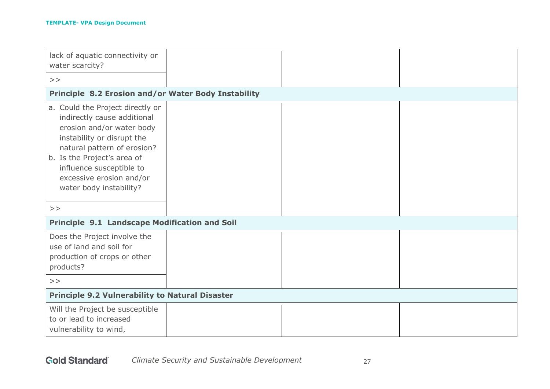| lack of aquatic connectivity or<br>water scarcity?                                                                                                                                                                                                                          |  |  |  |
|-----------------------------------------------------------------------------------------------------------------------------------------------------------------------------------------------------------------------------------------------------------------------------|--|--|--|
| >                                                                                                                                                                                                                                                                           |  |  |  |
|                                                                                                                                                                                                                                                                             |  |  |  |
| Principle 8.2 Erosion and/or Water Body Instability                                                                                                                                                                                                                         |  |  |  |
| a. Could the Project directly or<br>indirectly cause additional<br>erosion and/or water body<br>instability or disrupt the<br>natural pattern of erosion?<br>b. Is the Project's area of<br>influence susceptible to<br>excessive erosion and/or<br>water body instability? |  |  |  |
| $>$ $>$                                                                                                                                                                                                                                                                     |  |  |  |
| <b>Principle 9.1 Landscape Modification and Soil</b>                                                                                                                                                                                                                        |  |  |  |
| Does the Project involve the<br>use of land and soil for<br>production of crops or other<br>products?                                                                                                                                                                       |  |  |  |
| >                                                                                                                                                                                                                                                                           |  |  |  |
| <b>Principle 9.2 Vulnerability to Natural Disaster</b>                                                                                                                                                                                                                      |  |  |  |
| Will the Project be susceptible<br>to or lead to increased<br>vulnerability to wind,                                                                                                                                                                                        |  |  |  |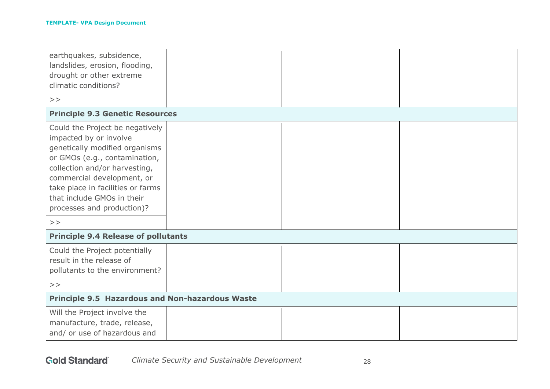| earthquakes, subsidence,<br>landslides, erosion, flooding,<br>drought or other extreme<br>climatic conditions?<br>>                                                                                                                                                                               |  |  |  |
|---------------------------------------------------------------------------------------------------------------------------------------------------------------------------------------------------------------------------------------------------------------------------------------------------|--|--|--|
| <b>Principle 9.3 Genetic Resources</b>                                                                                                                                                                                                                                                            |  |  |  |
| Could the Project be negatively<br>impacted by or involve<br>genetically modified organisms<br>or GMOs (e.g., contamination,<br>collection and/or harvesting,<br>commercial development, or<br>take place in facilities or farms<br>that include GMOs in their<br>processes and production)?<br>> |  |  |  |
| <b>Principle 9.4 Release of pollutants</b>                                                                                                                                                                                                                                                        |  |  |  |
| Could the Project potentially<br>result in the release of<br>pollutants to the environment?                                                                                                                                                                                                       |  |  |  |
| >                                                                                                                                                                                                                                                                                                 |  |  |  |
| <b>Principle 9.5 Hazardous and Non-hazardous Waste</b>                                                                                                                                                                                                                                            |  |  |  |
| Will the Project involve the<br>manufacture, trade, release,<br>and/ or use of hazardous and                                                                                                                                                                                                      |  |  |  |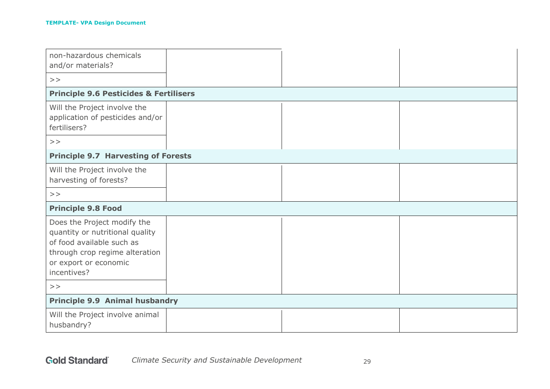| non-hazardous chemicals<br>and/or materials?                                                                                                                          |  |  |  |
|-----------------------------------------------------------------------------------------------------------------------------------------------------------------------|--|--|--|
| >                                                                                                                                                                     |  |  |  |
| <b>Principle 9.6 Pesticides &amp; Fertilisers</b>                                                                                                                     |  |  |  |
| Will the Project involve the<br>application of pesticides and/or<br>fertilisers?                                                                                      |  |  |  |
| >                                                                                                                                                                     |  |  |  |
| <b>Principle 9.7 Harvesting of Forests</b>                                                                                                                            |  |  |  |
| Will the Project involve the<br>harvesting of forests?                                                                                                                |  |  |  |
| >                                                                                                                                                                     |  |  |  |
| <b>Principle 9.8 Food</b>                                                                                                                                             |  |  |  |
| Does the Project modify the<br>quantity or nutritional quality<br>of food available such as<br>through crop regime alteration<br>or export or economic<br>incentives? |  |  |  |
| >                                                                                                                                                                     |  |  |  |
| <b>Principle 9.9 Animal husbandry</b>                                                                                                                                 |  |  |  |
| Will the Project involve animal<br>husbandry?                                                                                                                         |  |  |  |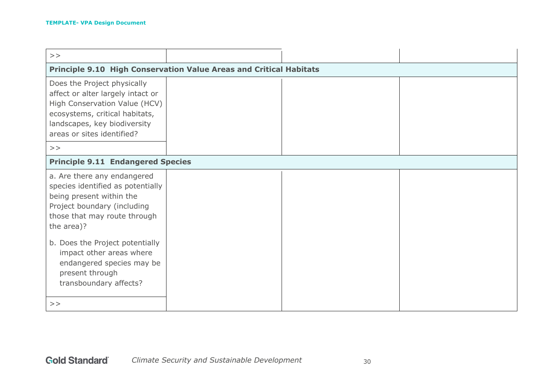| >                                                                                                                                                                                                 |  |  |  |
|---------------------------------------------------------------------------------------------------------------------------------------------------------------------------------------------------|--|--|--|
| <b>Principle 9.10 High Conservation Value Areas and Critical Habitats</b>                                                                                                                         |  |  |  |
| Does the Project physically<br>affect or alter largely intact or<br>High Conservation Value (HCV)<br>ecosystems, critical habitats,<br>landscapes, key biodiversity<br>areas or sites identified? |  |  |  |
| >                                                                                                                                                                                                 |  |  |  |
| <b>Principle 9.11 Endangered Species</b>                                                                                                                                                          |  |  |  |
| a. Are there any endangered<br>species identified as potentially<br>being present within the<br>Project boundary (including<br>those that may route through<br>the area)?                         |  |  |  |
| b. Does the Project potentially<br>impact other areas where<br>endangered species may be<br>present through<br>transboundary affects?                                                             |  |  |  |
| >                                                                                                                                                                                                 |  |  |  |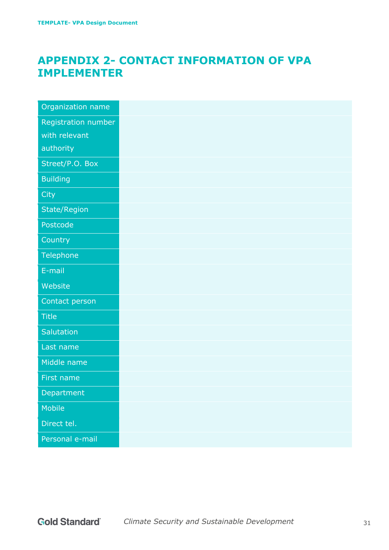# **APPENDIX 2- CONTACT INFORMATION OF VPA IMPLEMENTER**

| Organization name   |
|---------------------|
| Registration number |
| with relevant       |
| authority           |
| Street/P.O. Box     |
| <b>Building</b>     |
| City                |
| State/Region        |
| Postcode            |
| Country             |
| Telephone           |
| E-mail              |
| Website             |
| Contact person      |
| <b>Title</b>        |
| Salutation          |
| Last name           |
| Middle name         |
| First name          |
| Department          |
| Mobile              |
| Direct tel.         |
|                     |
| Personal e-mail     |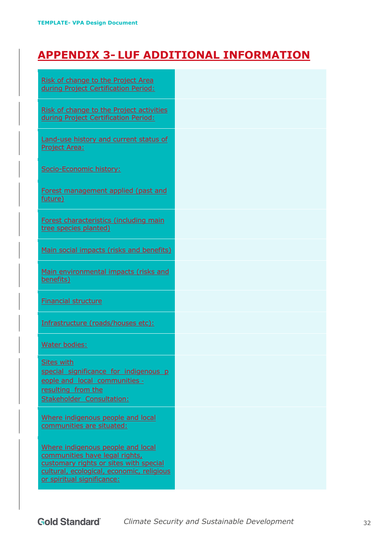# **APPENDIX 3- LUF ADDITIONAL INFORMATION**

| Risk of change to the Project Area<br>during Project Certification Period:                                                                                                               |  |
|------------------------------------------------------------------------------------------------------------------------------------------------------------------------------------------|--|
| Risk of change to the Project activities<br>during Project Certification Period:                                                                                                         |  |
| Land-use history and current status of<br><b>Project Area:</b>                                                                                                                           |  |
| Socio-Economic history:                                                                                                                                                                  |  |
| Forest management applied (past and<br>future)                                                                                                                                           |  |
| Forest characteristics (including main<br>tree species planted)                                                                                                                          |  |
| Main social impacts (risks and benefits)                                                                                                                                                 |  |
| Main environmental impacts (risks and<br>benefits)                                                                                                                                       |  |
| <b>Financial structure</b>                                                                                                                                                               |  |
| Infrastructure (roads/houses etc):                                                                                                                                                       |  |
| Water bodies:                                                                                                                                                                            |  |
| <b>Sites with</b><br>special significance for indigenous p<br>eople and local communities -<br>resulting from the<br>Stakeholder Consultation:                                           |  |
| Where indigenous people and local<br>communities are situated:                                                                                                                           |  |
| Where indigenous people and local<br>communities have legal rights,<br>customary rights or sites with special<br>cultural, ecological, economic, religious<br>or spiritual significance: |  |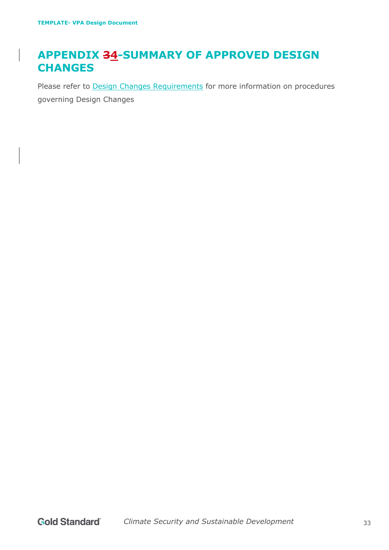# **APPENDIX 34-SUMMARY OF APPROVED DESIGN CHANGES**

Please refer to **Design Changes Requirements** for more information on procedures governing Design Changes